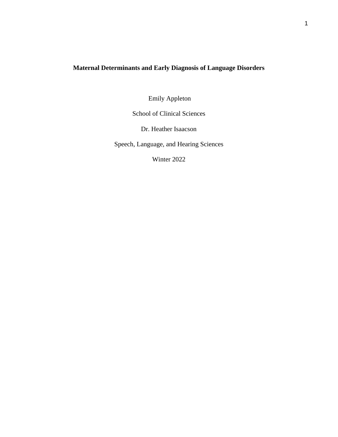# **Maternal Determinants and Early Diagnosis of Language Disorders**

Emily Appleton

School of Clinical Sciences

Dr. Heather Isaacson

Speech, Language, and Hearing Sciences

Winter 2022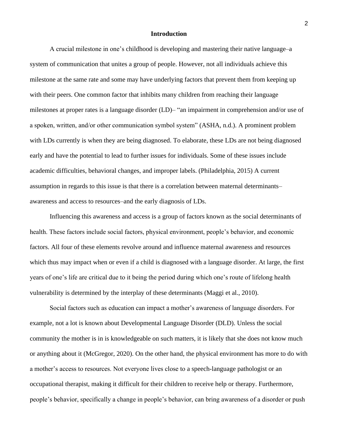### **Introduction**

A crucial milestone in one's childhood is developing and mastering their native language–a system of communication that unites a group of people. However, not all individuals achieve this milestone at the same rate and some may have underlying factors that prevent them from keeping up with their peers. One common factor that inhibits many children from reaching their language milestones at proper rates is a language disorder (LD)– "an impairment in comprehension and/or use of a spoken, written, and/or other communication symbol system" (ASHA, n.d.). A prominent problem with LDs currently is when they are being diagnosed. To elaborate, these LDs are not being diagnosed early and have the potential to lead to further issues for individuals. Some of these issues include academic difficulties, behavioral changes, and improper labels. (Philadelphia, 2015) A current assumption in regards to this issue is that there is a correlation between maternal determinants– awareness and access to resources–and the early diagnosis of LDs.

Influencing this awareness and access is a group of factors known as the social determinants of health. These factors include social factors, physical environment, people's behavior, and economic factors. All four of these elements revolve around and influence maternal awareness and resources which thus may impact when or even if a child is diagnosed with a language disorder. At large, the first years of one's life are critical due to it being the period during which one's route of lifelong health vulnerability is determined by the interplay of these determinants (Maggi et al., 2010).

Social factors such as education can impact a mother's awareness of language disorders. For example, not a lot is known about Developmental Language Disorder (DLD). Unless the social community the mother is in is knowledgeable on such matters, it is likely that she does not know much or anything about it (McGregor, 2020). On the other hand, the physical environment has more to do with a mother's access to resources. Not everyone lives close to a speech-language pathologist or an occupational therapist, making it difficult for their children to receive help or therapy. Furthermore, people's behavior, specifically a change in people's behavior, can bring awareness of a disorder or push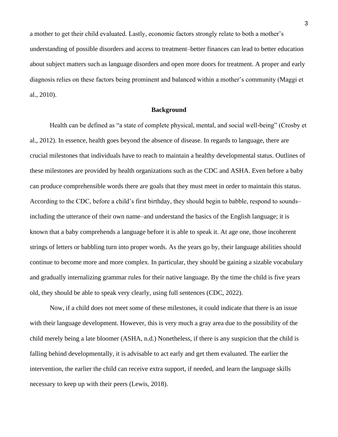a mother to get their child evaluated. Lastly, economic factors strongly relate to both a mother's understanding of possible disorders and access to treatment–better finances can lead to better education about subject matters such as language disorders and open more doors for treatment. A proper and early diagnosis relies on these factors being prominent and balanced within a mother's community (Maggi et al., 2010).

## **Background**

Health can be defined as "a state of complete physical, mental, and social well-being" (Crosby et al., 2012). In essence, health goes beyond the absence of disease. In regards to language, there are crucial milestones that individuals have to reach to maintain a healthy developmental status. Outlines of these milestones are provided by health organizations such as the CDC and ASHA. Even before a baby can produce comprehensible words there are goals that they must meet in order to maintain this status. According to the CDC, before a child's first birthday, they should begin to babble, respond to sounds– including the utterance of their own name–and understand the basics of the English language; it is known that a baby comprehends a language before it is able to speak it. At age one, those incoherent strings of letters or babbling turn into proper words. As the years go by, their language abilities should continue to become more and more complex. In particular, they should be gaining a sizable vocabulary and gradually internalizing grammar rules for their native language. By the time the child is five years old, they should be able to speak very clearly, using full sentences (CDC, 2022).

Now, if a child does not meet some of these milestones, it could indicate that there is an issue with their language development. However, this is very much a gray area due to the possibility of the child merely being a late bloomer (ASHA, n.d.) Nonetheless, if there is any suspicion that the child is falling behind developmentally, it is advisable to act early and get them evaluated. The earlier the intervention, the earlier the child can receive extra support, if needed, and learn the language skills necessary to keep up with their peers (Lewis, 2018).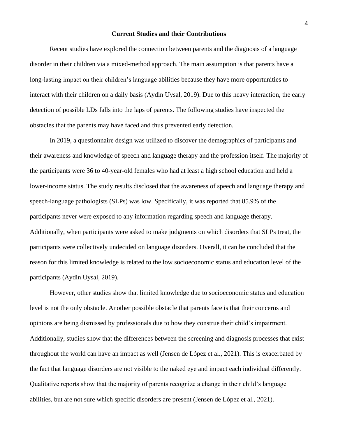#### **Current Studies and their Contributions**

Recent studies have explored the connection between parents and the diagnosis of a language disorder in their children via a mixed-method approach. The main assumption is that parents have a long-lasting impact on their children's language abilities because they have more opportunities to interact with their children on a daily basis (Aydin Uysal, 2019). Due to this heavy interaction, the early detection of possible LDs falls into the laps of parents. The following studies have inspected the obstacles that the parents may have faced and thus prevented early detection.

In 2019, a questionnaire design was utilized to discover the demographics of participants and their awareness and knowledge of speech and language therapy and the profession itself. The majority of the participants were 36 to 40-year-old females who had at least a high school education and held a lower-income status. The study results disclosed that the awareness of speech and language therapy and speech-language pathologists (SLPs) was low. Specifically, it was reported that 85.9% of the participants never were exposed to any information regarding speech and language therapy. Additionally, when participants were asked to make judgments on which disorders that SLPs treat, the participants were collectively undecided on language disorders. Overall, it can be concluded that the reason for this limited knowledge is related to the low socioeconomic status and education level of the participants (Aydin Uysal, 2019).

However, other studies show that limited knowledge due to socioeconomic status and education level is not the only obstacle. Another possible obstacle that parents face is that their concerns and opinions are being dismissed by professionals due to how they construe their child's impairment. Additionally, studies show that the differences between the screening and diagnosis processes that exist throughout the world can have an impact as well (Jensen de López et al., 2021). This is exacerbated by the fact that language disorders are not visible to the naked eye and impact each individual differently. Qualitative reports show that the majority of parents recognize a change in their child's language abilities, but are not sure which specific disorders are present (Jensen de López et al., 2021).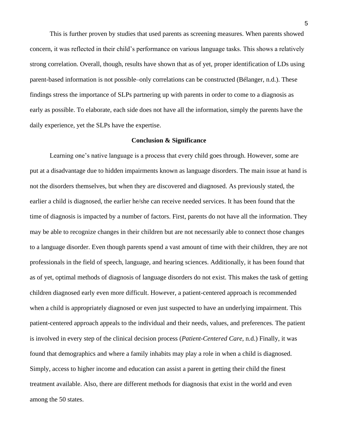This is further proven by studies that used parents as screening measures. When parents showed concern, it was reflected in their child's performance on various language tasks. This shows a relatively strong correlation. Overall, though, results have shown that as of yet, proper identification of LDs using parent-based information is not possible–only correlations can be constructed (Bélanger, n.d.). These findings stress the importance of SLPs partnering up with parents in order to come to a diagnosis as early as possible. To elaborate, each side does not have all the information, simply the parents have the daily experience, yet the SLPs have the expertise.

#### **Conclusion & Significance**

Learning one's native language is a process that every child goes through. However, some are put at a disadvantage due to hidden impairments known as language disorders. The main issue at hand is not the disorders themselves, but when they are discovered and diagnosed. As previously stated, the earlier a child is diagnosed, the earlier he/she can receive needed services. It has been found that the time of diagnosis is impacted by a number of factors. First, parents do not have all the information. They may be able to recognize changes in their children but are not necessarily able to connect those changes to a language disorder. Even though parents spend a vast amount of time with their children, they are not professionals in the field of speech, language, and hearing sciences. Additionally, it has been found that as of yet, optimal methods of diagnosis of language disorders do not exist. This makes the task of getting children diagnosed early even more difficult. However, a patient-centered approach is recommended when a child is appropriately diagnosed or even just suspected to have an underlying impairment. This patient-centered approach appeals to the individual and their needs, values, and preferences. The patient is involved in every step of the clinical decision process (*Patient-Centered Care*, n.d.) Finally, it was found that demographics and where a family inhabits may play a role in when a child is diagnosed. Simply, access to higher income and education can assist a parent in getting their child the finest treatment available. Also, there are different methods for diagnosis that exist in the world and even among the 50 states.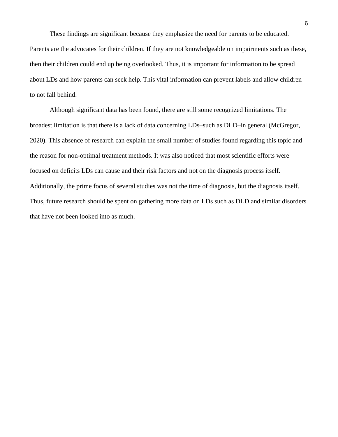These findings are significant because they emphasize the need for parents to be educated. Parents are the advocates for their children. If they are not knowledgeable on impairments such as these, then their children could end up being overlooked. Thus, it is important for information to be spread about LDs and how parents can seek help. This vital information can prevent labels and allow children to not fall behind.

Although significant data has been found, there are still some recognized limitations. The broadest limitation is that there is a lack of data concerning LDs–such as DLD–in general (McGregor, 2020). This absence of research can explain the small number of studies found regarding this topic and the reason for non-optimal treatment methods. It was also noticed that most scientific efforts were focused on deficits LDs can cause and their risk factors and not on the diagnosis process itself. Additionally, the prime focus of several studies was not the time of diagnosis, but the diagnosis itself. Thus, future research should be spent on gathering more data on LDs such as DLD and similar disorders that have not been looked into as much.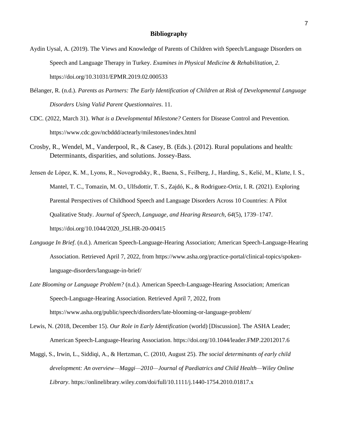#### **Bibliography**

- Aydin Uysal, A. (2019). The Views and Knowledge of Parents of Children with Speech/Language Disorders on Speech and Language Therapy in Turkey. *Examines in Physical Medicine & Rehabilitation*, *2*. https://doi.org/10.31031/EPMR.2019.02.000533
- Bélanger, R. (n.d.). *Parents as Partners: The Early Identification of Children at Risk of Developmental Language Disorders Using Valid Parent Questionnaires*. 11.
- CDC. (2022, March 31). *What is a Developmental Milestone?* Centers for Disease Control and Prevention. https://www.cdc.gov/ncbddd/actearly/milestones/index.html
- Crosby, R., Wendel, M., Vanderpool, R., & Casey, B. (Eds.). (2012). Rural populations and health: Determinants, disparities, and solutions. Jossey-Bass.
- Jensen de López, K. M., Lyons, R., Novogrodsky, R., Baena, S., Feilberg, J., Harding, S., Kelić, M., Klatte, I. S., Mantel, T. C., Tomazin, M. O., Ulfsdottir, T. S., Zajdó, K., & Rodriguez-Ortiz, I. R. (2021). Exploring Parental Perspectives of Childhood Speech and Language Disorders Across 10 Countries: A Pilot Qualitative Study. *Journal of Speech, Language, and Hearing Research*, *64*(5), 1739–1747. https://doi.org/10.1044/2020\_JSLHR-20-00415
- *Language In Brief*. (n.d.). American Speech-Language-Hearing Association; American Speech-Language-Hearing Association. Retrieved April 7, 2022, from https://www.asha.org/practice-portal/clinical-topics/spokenlanguage-disorders/language-in-brief/
- *Late Blooming or Language Problem?* (n.d.). American Speech-Language-Hearing Association; American Speech-Language-Hearing Association. Retrieved April 7, 2022, from https://www.asha.org/public/speech/disorders/late-blooming-or-language-problem/
- Lewis, N. (2018, December 15). *Our Role in Early Identification* (world) [Discussion]. The ASHA Leader; American Speech-Language-Hearing Association. https://doi.org/10.1044/leader.FMP.22012017.6
- Maggi, S., Irwin, L., Siddiqi, A., & Hertzman, C. (2010, August 25). *The social determinants of early child development: An overview—Maggi—2010—Journal of Paediatrics and Child Health—Wiley Online Library*. https://onlinelibrary.wiley.com/doi/full/10.1111/j.1440-1754.2010.01817.x